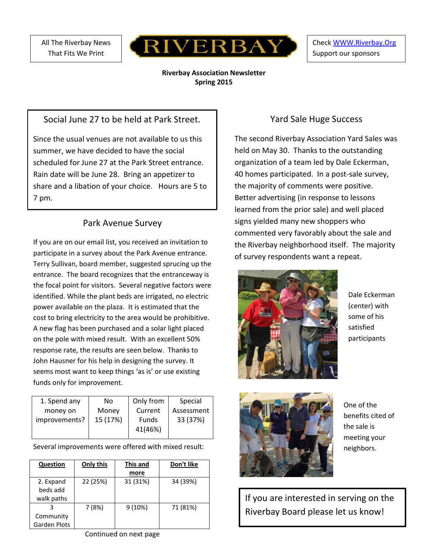All The Riverbay News That Fits We Print



Chec[k WWW.Riverbay.Org](http://www.riverbay.org/) Support our sponsors

#### **Riverbay Association Newsletter Spring 2015**

## Social June 27 to be held at Park Street.

Since the usual venues are not available to us this summer, we have decided to have the social scheduled for June 27 at the Park Street entrance. Rain date will be June 28. Bring an appetizer to share and a libation of your choice. Hours are 5 to 7 pm.

# Park Avenue Survey

If you are on our email list, you received an invitation to participate in a survey about the Park Avenue entrance. Terry Sullivan, board member, suggested sprucing up the entrance. The board recognizes that the entranceway is the focal point for visitors. Several negative factors were identified. While the plant beds are irrigated, no electric power available on the plaza. It is estimated that the cost to bring electricity to the area would be prohibitive. A new flag has been purchased and a solar light placed on the pole with mixed result. With an excellent 50% response rate, the results are seen below. Thanks to John Hausner for his help in designing the survey. It seems most want to keep things 'as is' or use existing funds only for improvement.

| 1. Spend any  | No       | Only from    | Special    |
|---------------|----------|--------------|------------|
| money on      | Money    | Current      | Assessment |
| improvements? | 15 (17%) | <b>Funds</b> | 33 (37%)   |
|               |          | 41(46%)      |            |
|               |          |              |            |

Several improvements were offered with mixed result:

| Question            | Only this | This and | Don't like |
|---------------------|-----------|----------|------------|
|                     |           | more     |            |
| 2. Expand           | 22 (25%)  | 31 (31%) | 34 (39%)   |
| beds add            |           |          |            |
| walk paths          |           |          |            |
|                     | 7 (8%)    | 9(10%)   | 71 (81%)   |
| Community           |           |          |            |
| <b>Garden Plots</b> |           |          |            |

## Yard Sale Huge Success

The second Riverbay Association Yard Sales was held on May 30. Thanks to the outstanding organization of a team led by Dale Eckerman, 40 homes participated. In a post-sale survey, the majority of comments were positive. Better advertising (in response to lessons learned from the prior sale) and well placed signs yielded many new shoppers who commented very favorably about the sale and the Riverbay neighborhood itself. The majority of survey respondents want a repeat.



Dale Eckerman (center) with some of his satisfied participants



One of the benefits cited of the sale is meeting your neighbors.

If you are interested in serving on the Riverbay Board please let us know!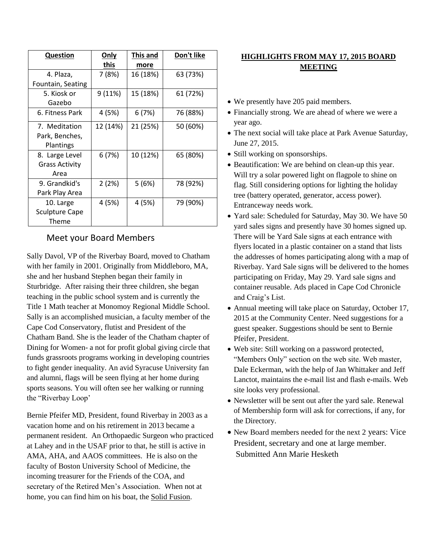| <b>Question</b>       | <u>Only</u> | This and | Don't like |
|-----------------------|-------------|----------|------------|
|                       | this        | more     |            |
| 4. Plaza,             | 7 (8%)      | 16 (18%) | 63 (73%)   |
| Fountain, Seating     |             |          |            |
| 5. Kiosk or           | 9 (11%)     | 15 (18%) | 61 (72%)   |
| Gazebo                |             |          |            |
| 6. Fitness Park       | 4 (5%)      | 6(7%)    | 76 (88%)   |
| 7. Meditation         | 12 (14%)    | 21 (25%) | 50 (60%)   |
| Park, Benches,        |             |          |            |
| Plantings             |             |          |            |
| 8. Large Level        | 6 (7%)      | 10 (12%) | 65 (80%)   |
| <b>Grass Activity</b> |             |          |            |
| Area                  |             |          |            |
| 9. Grandkid's         | 2(2%)       | 5(6%)    | 78 (92%)   |
| Park Play Area        |             |          |            |
| 10. Large             | 4 (5%)      | 4 (5%)   | 79 (90%)   |
| Sculpture Cape        |             |          |            |
| Theme                 |             |          |            |

#### Meet your Board Members

Sally Davol, VP of the Riverbay Board, moved to Chatham with her family in 2001. Originally from Middleboro, MA, she and her husband Stephen began their family in Sturbridge. After raising their three children, she began teaching in the public school system and is currently the Title 1 Math teacher at Monomoy Regional Middle School. Sally is an accomplished musician, a faculty member of the Cape Cod Conservatory, flutist and President of the Chatham Band. She is the leader of the Chatham chapter of Dining for Women- a not for profit global giving circle that funds grassroots programs working in developing countries to fight gender inequality. An avid Syracuse University fan and alumni, flags will be seen flying at her home during sports seasons. You will often see her walking or running the "Riverbay Loop'

Bernie Pfeifer MD, President, found Riverbay in 2003 as a vacation home and on his retirement in 2013 became a permanent resident. An Orthopaedic Surgeon who practiced at Lahey and in the USAF prior to that, he still is active in AMA, AHA, and AAOS committees. He is also on the faculty of Boston University School of Medicine, the incoming treasurer for the Friends of the COA, and secretary of the Retired Men's Association. When not at home, you can find him on his boat, the Solid Fusion.

### **HIGHLIGHTS FROM MAY 17, 2015 BOARD MEETING**

- We presently have 205 paid members.
- Financially strong. We are ahead of where we were a year ago.
- The next social will take place at Park Avenue Saturday, June 27, 2015.
- Still working on sponsorships.
- Beautification: We are behind on clean-up this year. Will try a solar powered light on flagpole to shine on flag. Still considering options for lighting the holiday tree (battery operated, generator, access power). Entranceway needs work.
- Yard sale: Scheduled for Saturday, May 30. We have 50 yard sales signs and presently have 30 homes signed up. There will be Yard Sale signs at each entrance with flyers located in a plastic container on a stand that lists the addresses of homes participating along with a map of Riverbay. Yard Sale signs will be delivered to the homes participating on Friday, May 29. Yard sale signs and container reusable. Ads placed in Cape Cod Chronicle and Craig's List.
- Annual meeting will take place on Saturday, October 17, 2015 at the Community Center. Need suggestions for a guest speaker. Suggestions should be sent to Bernie Pfeifer, President.
- Web site: Still working on a password protected, "Members Only" section on the web site. Web master, Dale Eckerman, with the help of Jan Whittaker and Jeff Lanctot, maintains the e-mail list and flash e-mails. Web site looks very professional.
- Newsletter will be sent out after the yard sale. Renewal of Membership form will ask for corrections, if any, for the Directory.
- New Board members needed for the next 2 years: Vice President, secretary and one at large member. Submitted Ann Marie Hesketh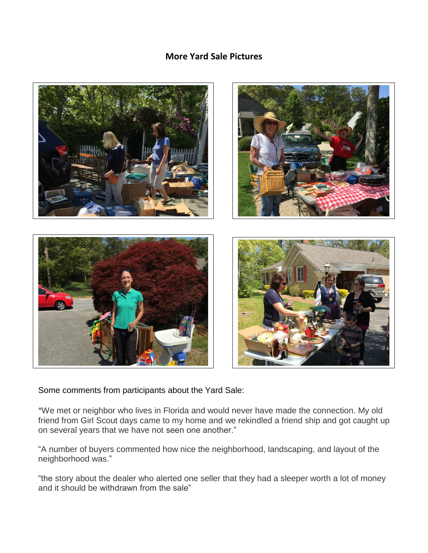### **More Yard Sale Pictures**



Some comments from participants about the Yard Sale:

"We met or neighbor who lives in Florida and would never have made the connection. My old friend from Girl Scout days came to my home and we rekindled a friend ship and got caught up on several years that we have not seen one another."

"A number of buyers commented how nice the neighborhood, landscaping, and layout of the neighborhood was."

"the story about the dealer who alerted one seller that they had a sleeper worth a lot of money and it should be withdrawn from the sale"